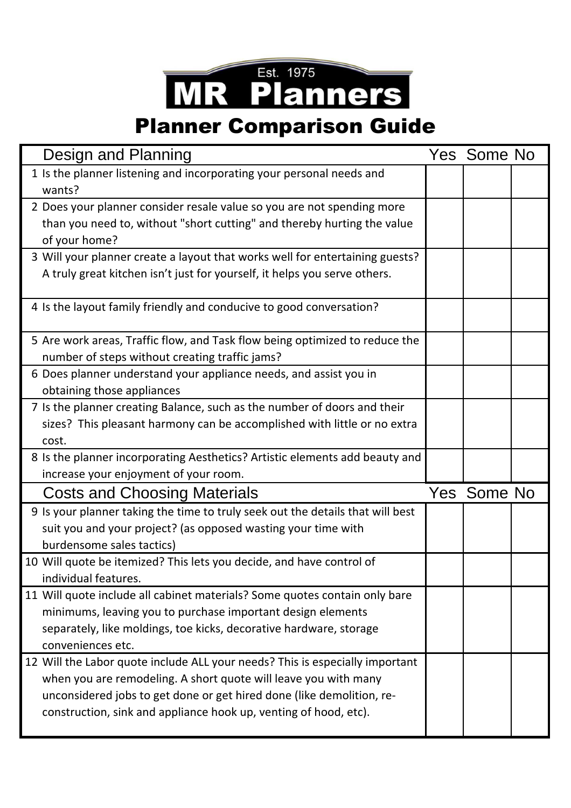## **MR Planners**

## Planner Comparison Guide

| Design and Planning                                                                                                                               | Yes Some No |  |
|---------------------------------------------------------------------------------------------------------------------------------------------------|-------------|--|
| 1 Is the planner listening and incorporating your personal needs and<br>wants?                                                                    |             |  |
| 2 Does your planner consider resale value so you are not spending more<br>than you need to, without "short cutting" and thereby hurting the value |             |  |
| of your home?                                                                                                                                     |             |  |
| 3 Will your planner create a layout that works well for entertaining guests?                                                                      |             |  |
| A truly great kitchen isn't just for yourself, it helps you serve others.                                                                         |             |  |
| 4 Is the layout family friendly and conducive to good conversation?                                                                               |             |  |
| 5 Are work areas, Traffic flow, and Task flow being optimized to reduce the                                                                       |             |  |
| number of steps without creating traffic jams?                                                                                                    |             |  |
| 6 Does planner understand your appliance needs, and assist you in<br>obtaining those appliances                                                   |             |  |
| 7 Is the planner creating Balance, such as the number of doors and their                                                                          |             |  |
| sizes? This pleasant harmony can be accomplished with little or no extra                                                                          |             |  |
| cost.                                                                                                                                             |             |  |
| 8 Is the planner incorporating Aesthetics? Artistic elements add beauty and                                                                       |             |  |
| increase your enjoyment of your room.                                                                                                             |             |  |
| <b>Costs and Choosing Materials</b>                                                                                                               | Yes Some No |  |
| 9 Is your planner taking the time to truly seek out the details that will best                                                                    |             |  |
| suit you and your project? (as opposed wasting your time with                                                                                     |             |  |
| burdensome sales tactics)                                                                                                                         |             |  |
| 10 Will quote be itemized? This lets you decide, and have control of                                                                              |             |  |
| individual features.                                                                                                                              |             |  |
| 11 Will quote include all cabinet materials? Some quotes contain only bare<br>minimums, leaving you to purchase important design elements         |             |  |
| separately, like moldings, toe kicks, decorative hardware, storage                                                                                |             |  |
| conveniences etc.                                                                                                                                 |             |  |
| 12 Will the Labor quote include ALL your needs? This is especially important                                                                      |             |  |
| when you are remodeling. A short quote will leave you with many                                                                                   |             |  |
| unconsidered jobs to get done or get hired done (like demolition, re-                                                                             |             |  |
| construction, sink and appliance hook up, venting of hood, etc).                                                                                  |             |  |
|                                                                                                                                                   |             |  |